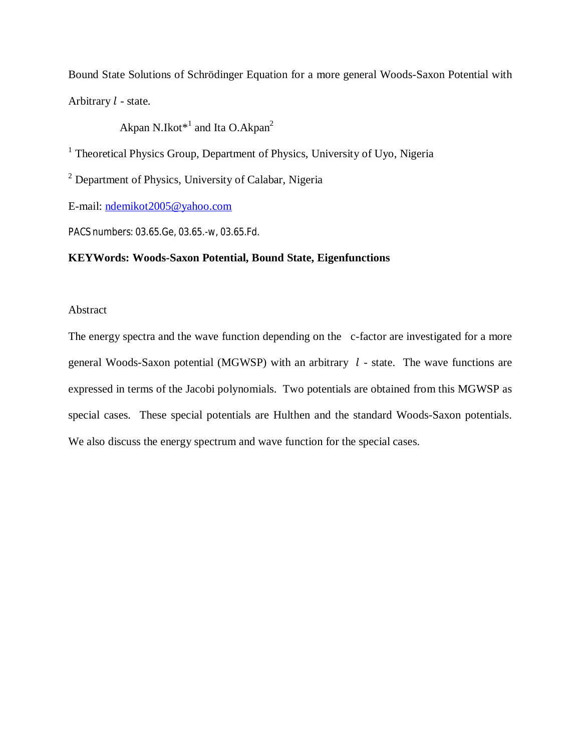Bound State Solutions of Schrödinger Equation for a more general Woods-Saxon Potential with Arbitrary  $l$  - state.

Akpan N.Ikot $*^1$  and Ita O.Akpan<sup>2</sup>

<sup>1</sup> Theoretical Physics Group, Department of Physics, University of Uyo, Nigeria

<sup>2</sup> Department of Physics, University of Calabar, Nigeria

E-mail: ndemikot2005@yahoo.com

PACS numbers: 03.65.Ge, 03.65.-w, 03.65.Fd.

# **KEYWords: Woods-Saxon Potential, Bound State, Eigenfunctions**

### Abstract

The energy spectra and the wave function depending on the c-factor are investigated for a more general Woods-Saxon potential (MGWSP) with an arbitrary  $l$  - state. The wave functions are expressed in terms of the Jacobi polynomials. Two potentials are obtained from this MGWSP as special cases. These special potentials are Hulthen and the standard Woods-Saxon potentials. We also discuss the energy spectrum and wave function for the special cases.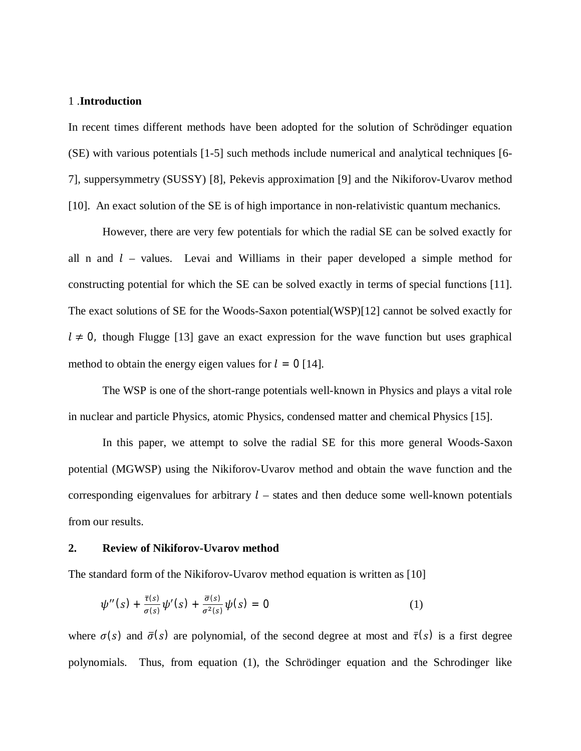### 1 .**Introduction**

In recent times different methods have been adopted for the solution of Schrödinger equation (SE) with various potentials [1-5] such methods include numerical and analytical techniques [6- 7], suppersymmetry (SUSSY) [8], Pekevis approximation [9] and the Nikiforov-Uvarov method [10]. An exact solution of the SE is of high importance in non-relativistic quantum mechanics.

However, there are very few potentials for which the radial SE can be solved exactly for all n and  $l$  – values. Levai and Williams in their paper developed a simple method for constructing potential for which the SE can be solved exactly in terms of special functions [11]. The exact solutions of SE for the Woods-Saxon potential(WSP)[12] cannot be solved exactly for  $l \neq 0$ , though Flugge [13] gave an exact expression for the wave function but uses graphical method to obtain the energy eigen values for  $l = 0$  [14].

The WSP is one of the short-range potentials well-known in Physics and plays a vital role in nuclear and particle Physics, atomic Physics, condensed matter and chemical Physics [15].

In this paper, we attempt to solve the radial SE for this more general Woods-Saxon potential (MGWSP) using the Nikiforov-Uvarov method and obtain the wave function and the corresponding eigenvalues for arbitrary  $l$  – states and then deduce some well-known potentials from our results.

#### **2. Review of Nikiforov-Uvarov method**

The standard form of the Nikiforov-Uvarov method equation is written as [10]

$$
\psi''(s) + \frac{\bar{\tau}(s)}{\sigma(s)} \psi'(s) + \frac{\bar{\sigma}(s)}{\sigma^2(s)} \psi(s) = 0 \qquad (1)
$$

where  $\sigma(s)$  and  $\bar{\sigma}(s)$  are polynomial, of the second degree at most and  $\bar{\tau}(s)$  is a first degree polynomials. Thus, from equation (1), the Schrödinger equation and the Schrodinger like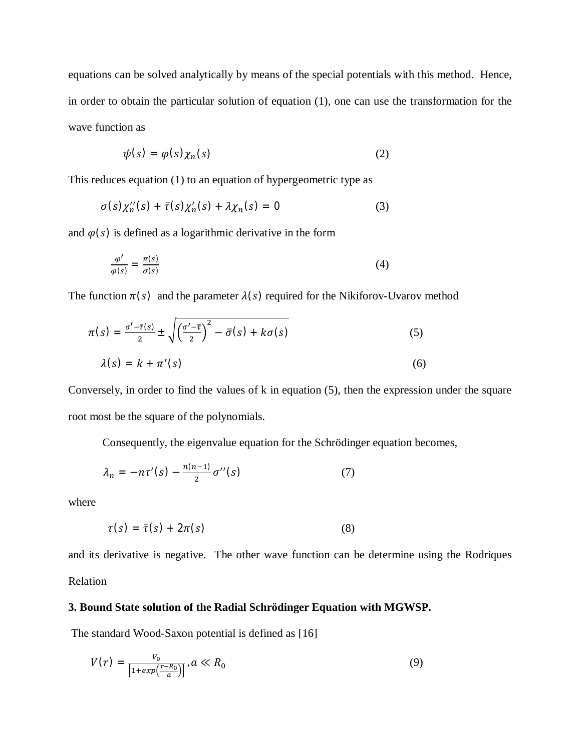equations can be solved analytically by means of the special potentials with this method. Hence, in order to obtain the particular solution of equation (1), one can use the transformation for the wave function as

$$
\psi(s) = \varphi(s)\chi_n(s) \tag{2}
$$

This reduces equation (1) to an equation of hypergeometric type as

$$
\sigma(s)\chi_n''(s) + \bar{\tau}(s)\chi_n'(s) + \lambda\chi_n(s) = 0 \tag{3}
$$

and  $\varphi(s)$  is defined as a logarithmic derivative in the form

$$
\frac{\varphi'}{\varphi(s)} = \frac{\pi(s)}{\sigma(s)}\tag{4}
$$

The function  $\pi(s)$  and the parameter  $\lambda(s)$  required for the Nikiforov-Uvarov method

$$
\pi(s) = \frac{\sigma' - \overline{\tau}(s)}{2} \pm \sqrt{\left(\frac{\sigma' - \overline{\tau}}{2}\right)^2 - \overline{\sigma}(s) + k\sigma(s)}
$$
(5)  

$$
\lambda(s) = k + \pi'(s)
$$
(6)

Conversely, in order to find the values of k in equation (5), then the expression under the square root most be the square of the polynomials.

Consequently, the eigenvalue equation for the Schrödinger equation becomes,

$$
\lambda_n = -n\tau'(s) - \frac{n(n-1)}{2}\sigma''(s) \tag{7}
$$

where

$$
\tau(s) = \bar{\tau}(s) + 2\pi(s) \tag{8}
$$

and its derivative is negative. The other wave function can be determine using the Rodriques Relation

### **3. Bound State solution of the Radial Schrödinger Equation with MGWSP.**

The standard Wood-Saxon potential is defined as [16]

$$
V(r) = \frac{V_0}{\left[1 + exp\left(\frac{r - R_0}{a}\right)\right]}, \, a \ll R_0 \tag{9}
$$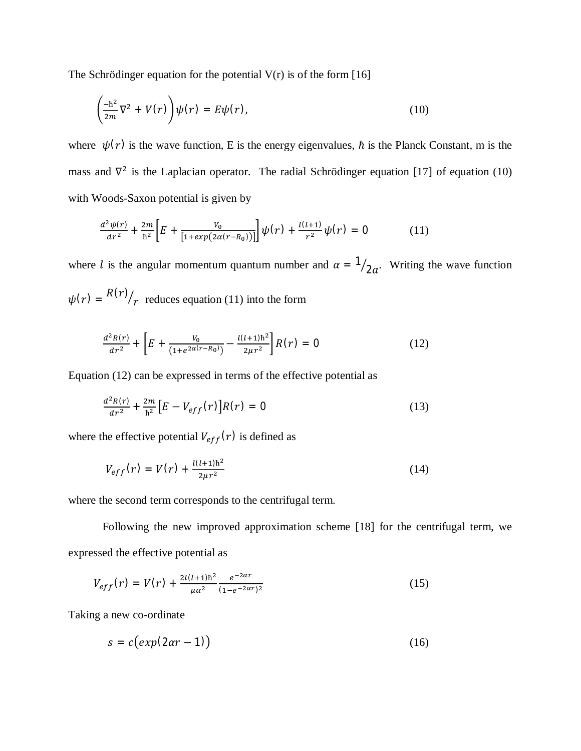The Schrödinger equation for the potential  $V(r)$  is of the form [16]

$$
\left(\frac{-\hbar^2}{2m}\nabla^2 + V(r)\right)\psi(r) = E\psi(r),\tag{10}
$$

where  $\psi(r)$  is the wave function, E is the energy eigenvalues,  $\hbar$  is the Planck Constant, m is the mass and  $\nabla^2$  is the Laplacian operator. The radial Schrödinger equation [17] of equation (10) with Woods-Saxon potential is given by

$$
\frac{d^2\psi(r)}{dr^2} + \frac{2m}{\hbar^2} \left[ E + \frac{V_0}{\left[1 + exp(2\alpha(r - R_0))\right]} \right] \psi(r) + \frac{l(l+1)}{r^2} \psi(r) = 0 \tag{11}
$$

where *l* is the angular momentum quantum number and  $\alpha = \frac{1}{2a}$ . Writing the wave function  $\psi(r) = \frac{R(r)}{r}$  $\gamma_r$  reduces equation (11) into the form

$$
\frac{d^2R(r)}{dr^2} + \left[E + \frac{V_0}{(1 + e^{2\alpha(r - R_0)})} - \frac{l(l+1)\hbar^2}{2\mu r^2}\right]R(r) = 0\tag{12}
$$

Equation (12) can be expressed in terms of the effective potential as

$$
\frac{d^2R(r)}{dr^2} + \frac{2m}{\hbar^2} \left[ E - V_{eff}(r) \right] R(r) = 0 \tag{13}
$$

where the effective potential  $V_{eff}(r)$  is defined as

$$
V_{eff}(r) = V(r) + \frac{l(l+1)\hbar^2}{2\mu r^2} \tag{14}
$$

where the second term corresponds to the centrifugal term.

Following the new improved approximation scheme [18] for the centrifugal term, we expressed the effective potential as

$$
V_{eff}(r) = V(r) + \frac{2l(l+1)\hbar^2}{\mu\alpha^2} \frac{e^{-2\alpha r}}{(1 - e^{-2\alpha r})^2}
$$
(15)

Taking a new co-ordinate

$$
s = c\big(\exp(2\alpha r - 1)\big) \tag{16}
$$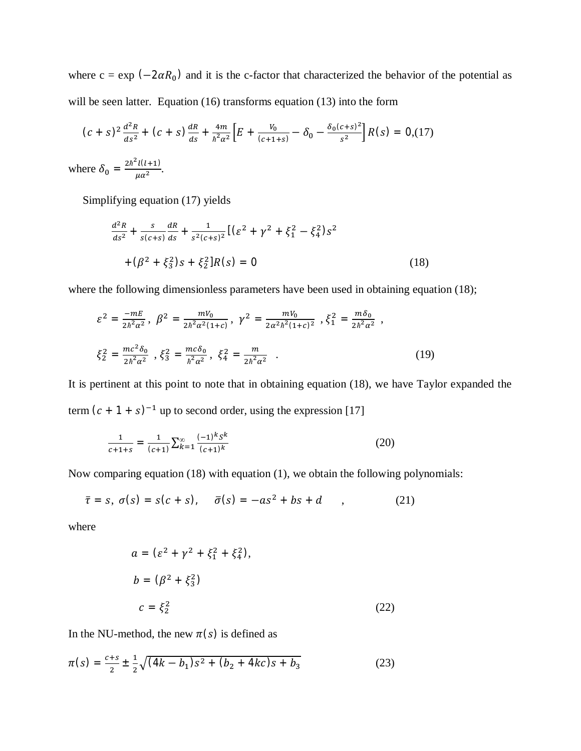where  $c = \exp(-2\alpha R_0)$  and it is the c-factor that characterized the behavior of the potential as will be seen latter. Equation (16) transforms equation (13) into the form

$$
(c+s)^2 \frac{d^2 R}{ds^2} + (c+s) \frac{dR}{ds} + \frac{4m}{\hbar^2 \alpha^2} \Big[ E + \frac{V_0}{(c+1+s)} - \delta_0 - \frac{\delta_0 (c+s)^2}{s^2} \Big] R(s) = 0, \quad (17)
$$

where  $\delta_0 = \frac{2\hbar^2 l(l+1)}{l l \sigma^2}$  $rac{\mu(\mathcal{L}+1)}{\mu \alpha^2}$ .

Simplifying equation (17) yields

$$
\frac{d^2R}{ds^2} + \frac{s}{s(c+s)}\frac{dR}{ds} + \frac{1}{s^2(c+s)^2} \left[ \left( \varepsilon^2 + \gamma^2 + \xi_1^2 - \xi_4^2 \right) s^2 \right. \left. + \left( \beta^2 + \xi_3^2 \right) s + \xi_2^2 \right] R(s) = 0 \tag{18}
$$

where the following dimensionless parameters have been used in obtaining equation (18);

$$
\varepsilon^{2} = \frac{-mE}{2\hbar^{2}\alpha^{2}}, \ \beta^{2} = \frac{mV_{0}}{2\hbar^{2}\alpha^{2}(1+c)}, \ \gamma^{2} = \frac{mV_{0}}{2\alpha^{2}\hbar^{2}(1+c)^{2}}, \ \xi_{1}^{2} = \frac{m\delta_{0}}{2\hbar^{2}\alpha^{2}},
$$

$$
\xi_{2}^{2} = \frac{mc^{2}\delta_{0}}{2\hbar^{2}\alpha^{2}}, \ \xi_{3}^{2} = \frac{mc\delta_{0}}{\hbar^{2}\alpha^{2}}, \ \xi_{4}^{2} = \frac{m}{2\hbar^{2}\alpha^{2}}.
$$
(19)

It is pertinent at this point to note that in obtaining equation (18), we have Taylor expanded the term  $(c + 1 + s)^{-1}$  up to second order, using the expression [17]

$$
\frac{1}{c+1+s} = \frac{1}{(c+1)} \sum_{k=1}^{\infty} \frac{(-1)^k s^k}{(c+1)^k}
$$
(20)

Now comparing equation (18) with equation (1), we obtain the following polynomials:

$$
\bar{\tau} = s, \; \sigma(s) = s(c+s), \quad \bar{\sigma}(s) = -as^2 + bs + d \qquad , \tag{21}
$$

where

$$
a = (\varepsilon^2 + \gamma^2 + \xi_1^2 + \xi_4^2),
$$
  
\n
$$
b = (\beta^2 + \xi_3^2)
$$
  
\n
$$
c = \xi_2^2
$$
 (22)

In the NU-method, the new  $\pi(s)$  is defined as

$$
\pi(s) = \frac{c+s}{2} \pm \frac{1}{2} \sqrt{(4k - b_1)s^2 + (b_2 + 4kc)s + b_3}
$$
 (23)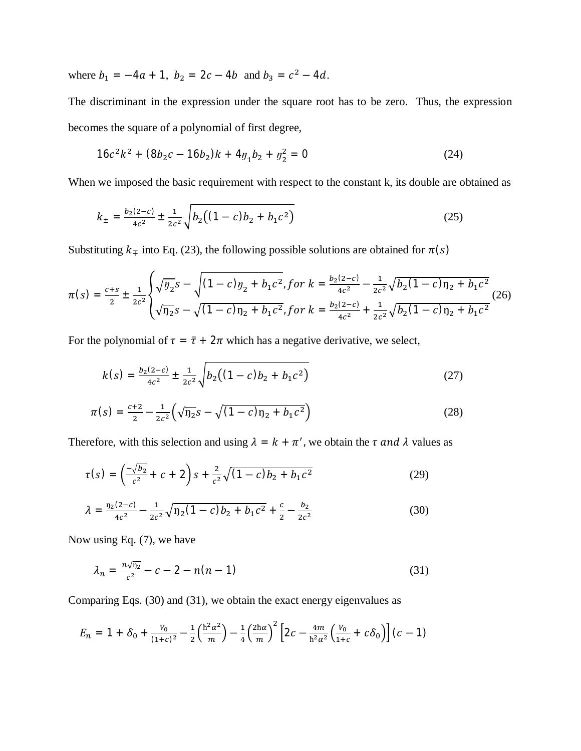where  $b_1 = -4a + 1$ ,  $b_2 = 2c - 4b$  and  $b_3 = c^2 - 4d$ .

The discriminant in the expression under the square root has to be zero. Thus, the expression becomes the square of a polynomial of first degree,

$$
16c^2k^2 + (8b_2c - 16b_2)k + 4y_1b_2 + y_2^2 = 0
$$
 (24)

When we imposed the basic requirement with respect to the constant k, its double are obtained as

$$
k_{\pm} = \frac{b_2(2-c)}{4c^2} \pm \frac{1}{2c^2} \sqrt{b_2((1-c)b_2 + b_1c^2)}
$$
(25)

Substituting  $k<sub>mp</sub>$  into Eq. (23), the following possible solutions are obtained for  $\pi(s)$ 

$$
\pi(s) = \frac{c+s}{2} \pm \frac{1}{2c^2} \begin{cases} \sqrt{y_2}s - \sqrt{(1-c)y_2 + b_1c^2}, \text{for } k = \frac{b_2(2-c)}{4c^2} - \frac{1}{2c^2} \sqrt{b_2(1-c)y_2 + b_1c^2} \\ \sqrt{y_2}s - \sqrt{(1-c)y_2 + b_1c^2}, \text{for } k = \frac{b_2(2-c)}{4c^2} + \frac{1}{2c^2} \sqrt{b_2(1-c)y_2 + b_1c^2} \end{cases} (26)
$$

For the polynomial of  $\tau = \bar{\tau} + 2\pi$  which has a negative derivative, we select,

$$
k(s) = \frac{b_2(2-c)}{4c^2} \pm \frac{1}{2c^2} \sqrt{b_2((1-c)b_2 + b_1c^2)}
$$
(27)

$$
\pi(s) = \frac{c+2}{2} - \frac{1}{2c^2} \left( \sqrt{\eta_2} s - \sqrt{(1-c)\eta_2 + b_1 c^2} \right)
$$
\n(28)

Therefore, with this selection and using  $\lambda = k + \pi'$ , we obtain the  $\tau$  and  $\lambda$  values as

$$
\tau(s) = \left(\frac{-\sqrt{b_2}}{c^2} + c + 2\right)s + \frac{2}{c^2}\sqrt{(1-c)b_2 + b_1c^2} \tag{29}
$$

$$
\lambda = \frac{n_2(2-c)}{4c^2} - \frac{1}{2c^2} \sqrt{n_2(1-c)b_2 + b_1c^2} + \frac{c}{2} - \frac{b_2}{2c^2}
$$
(30)

Now using Eq. (7), we have

$$
\lambda_n = \frac{n\sqrt{n_2}}{c^2} - c - 2 - n(n-1) \tag{31}
$$

Comparing Eqs. (30) and (31), we obtain the exact energy eigenvalues as

$$
E_n = 1 + \delta_0 + \frac{v_0}{(1+c)^2} - \frac{1}{2} \left( \frac{\hbar^2 \alpha^2}{m} \right) - \frac{1}{4} \left( \frac{2\hbar \alpha}{m} \right)^2 \left[ 2c - \frac{4m}{\hbar^2 \alpha^2} \left( \frac{v_0}{1+c} + c \delta_0 \right) \right] (c-1)
$$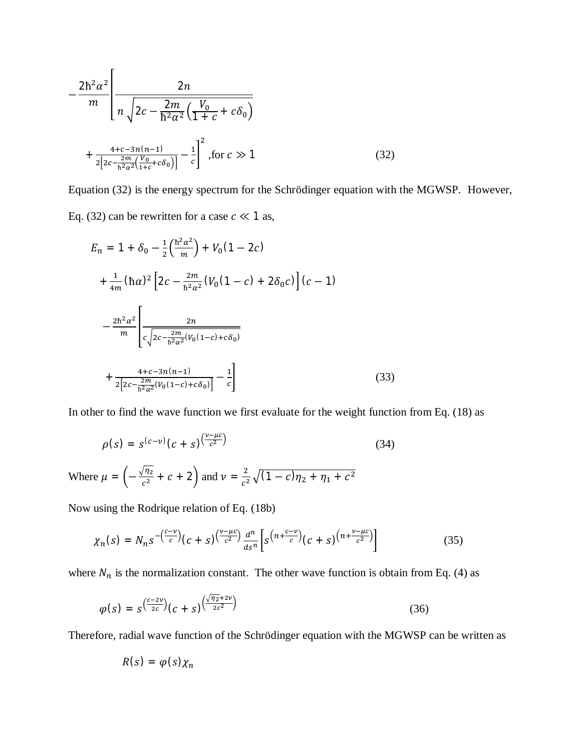$$
-\frac{2\hbar^2 \alpha^2}{m} \left[ \frac{2n}{n\sqrt{2c - \frac{2m}{\hbar^2 \alpha^2} \left( \frac{V_0}{1 + c} + c \delta_0 \right)}} + \frac{4 + c - 3n(n-1)}{2[2c - \frac{2m}{\hbar^2 \alpha^2} \left( \frac{V_0}{1 + c} + c \delta_0 \right)]} - \frac{1}{c} \right]^2, \text{for } c \gg 1 \tag{32}
$$

Equation (32) is the energy spectrum for the Schrödinger equation with the MGWSP. However, Eq. (32) can be rewritten for a case  $c \ll 1$  as,

$$
E_n = 1 + \delta_0 - \frac{1}{2} \left( \frac{\hbar^2 \alpha^2}{m} \right) + V_0 (1 - 2c)
$$
  
+ 
$$
\frac{1}{4m} (\hbar \alpha)^2 \left[ 2c - \frac{2m}{\hbar^2 \alpha^2} (V_0 (1 - c) + 2\delta_0 c) \right] (c - 1)
$$
  
- 
$$
\frac{2\hbar^2 \alpha^2}{m} \left[ \frac{2n}{c \sqrt{2c - \frac{2m}{\hbar^2 \alpha^2} (V_0 (1 - c) + c\delta_0)}} + \frac{4 + c - 3n(n - 1)}{2 \left[ 2c - \frac{2m}{\hbar^2 \alpha^2} (V_0 (1 - c) + c\delta_0) \right]} - \frac{1}{c} \right]
$$
(33)

In other to find the wave function we first evaluate for the weight function from Eq. (18) as

$$
\rho(s) = s^{(c-v)}(c+s)^{\frac{(v-\mu c)}{c^2}} \tag{34}
$$
  
Where  $\mu = \left(-\frac{\sqrt{\eta_2}}{c^2} + c + 2\right)$  and  $v = \frac{2}{c^2}\sqrt{(1-c)\eta_2 + \eta_1 + c^2}$ 

Now using the Rodrique relation of Eq. (18b)

$$
\chi_n(s) = N_n s^{-\left(\frac{c-\nu}{c}\right)} (c+s)^{\left(\frac{\nu-\mu c}{c^2}\right)} \frac{d^n}{ds^n} \left[ s^{\left(n+\frac{c-\nu}{c}\right)} (c+s)^{\left(n+\frac{\nu-\mu c}{c^2}\right)} \right]
$$
(35)

where  $N_n$  is the normalization constant. The other wave function is obtain from Eq. (4) as

$$
\varphi(s) = s^{\left(\frac{c-2\nu}{2c}\right)}(c+s)^{\left(\frac{\sqrt{\eta_2}+2\nu}{2c^2}\right)}\tag{36}
$$

Therefore, radial wave function of the Schrödinger equation with the MGWSP can be written as

$$
R(s) = \varphi(s)\chi_n
$$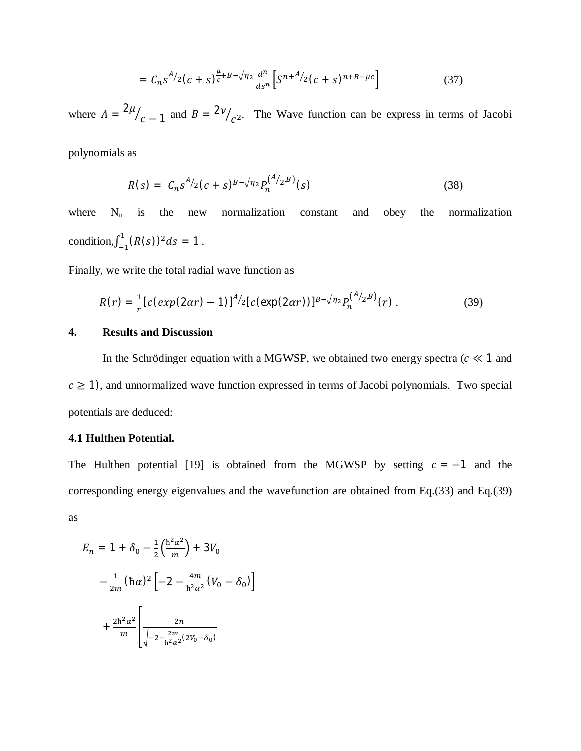$$
= C_n s^{A/2} (c+s)^{\frac{\mu}{c}+B-\sqrt{\eta_2}} \frac{d^n}{ds^n} \Big[ S^{n+A/2} (c+s)^{n+B-\mu c} \Big] \tag{37}
$$

where  $A = \frac{2\mu}{g}$  $c-1$  $Z_{c-1}$  and  $B = 2\nu_{c^2}$ . The Wave function can be express in terms of Jacobi

polynomials as

$$
R(s) = C_n s^{A/2} (c+s)^{B-\sqrt{\eta_2}} P_n^{(A/2,B)}(s)
$$
\n(38)

where  $N_n$  is the new normalization constant and obey the normalization condition,  $\int_{-1}^{1} (R(s))^2 ds = 1$  $\int_{-1}^{1} (R(s))^2 ds = 1$ .

Finally, we write the total radial wave function as

$$
R(r) = \frac{1}{r} \left[ c \left( exp(2\alpha r) - 1 \right) \right]^{A/2} \left[ c \left( exp(2\alpha r) \right) \right]^{B - \sqrt{\eta_2}} P_n^{\left( A/2, B \right)}(r) \,. \tag{39}
$$

### **4. Results and Discussion**

In the Schrödinger equation with a MGWSP, we obtained two energy spectra ( $c \ll 1$  and  $c \geq 1$ ), and unnormalized wave function expressed in terms of Jacobi polynomials. Two special potentials are deduced:

# **4.1 Hulthen Potential.**

The Hulthen potential [19] is obtained from the MGWSP by setting  $c = -1$  and the corresponding energy eigenvalues and the wavefunction are obtained from Eq.(33) and Eq.(39) as

$$
E_n = 1 + \delta_0 - \frac{1}{2} \left( \frac{\hbar^2 \alpha^2}{m} \right) + 3V_0
$$
  

$$
- \frac{1}{2m} (\hbar \alpha)^2 \left[ -2 - \frac{4m}{\hbar^2 \alpha^2} (V_0 - \delta_0) \right]
$$
  

$$
+ \frac{2\hbar^2 \alpha^2}{m} \left[ \frac{2n}{\sqrt{-2 - \frac{2m}{\hbar^2 \alpha^2} (2V_0 - \delta_0)}} \right]
$$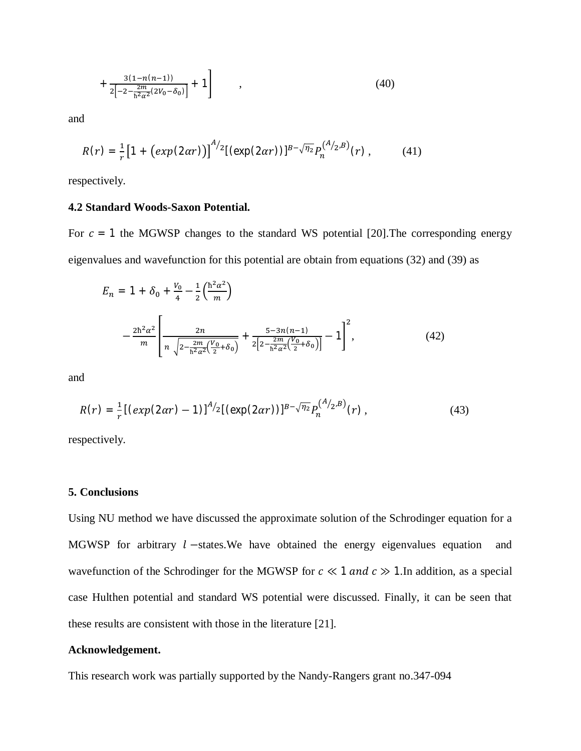$$
+\frac{3(1-n(n-1))}{2\left[-2-\frac{2m}{h^2\alpha^2}(2V_0-\delta_0)\right]}+1\qquad ,\qquad (40)
$$

and

$$
R(r) = \frac{1}{r} \left[ 1 + \left( exp(2\alpha r) \right) \right]^{A/2} \left[ \left( exp(2\alpha r) \right) \right]^{B - \sqrt{n_2}} P_n^{(A/2, B)}(r) , \tag{41}
$$

respectively.

### **4.2 Standard Woods-Saxon Potential.**

For  $c = 1$  the MGWSP changes to the standard WS potential [20]. The corresponding energy eigenvalues and wavefunction for this potential are obtain from equations (32) and (39) as

$$
E_n = 1 + \delta_0 + \frac{v_0}{4} - \frac{1}{2} \left( \frac{\hbar^2 \alpha^2}{m} \right)
$$

$$
- \frac{2\hbar^2 \alpha^2}{m} \left[ \frac{2n}{n \sqrt{2 - \frac{2m}{\hbar^2 \alpha^2} \left( \frac{V_0}{2} + \delta_0 \right)}} + \frac{5 - 3n(n-1)}{2 \left[ 2 - \frac{2m}{\hbar^2 \alpha^2} \left( \frac{V_0}{2} + \delta_0 \right) \right]} - 1 \right]^2, \tag{42}
$$

and

$$
R(r) = \frac{1}{r} \left[ \left( exp(2\alpha r) - 1 \right) \right]^{A/2} \left[ \left( exp(2\alpha r) \right) \right]^{B - \sqrt{n_2}} P_n^{(A/2, B)}(r) , \tag{43}
$$

respectively.

## **5. Conclusions**

Using NU method we have discussed the approximate solution of the Schrodinger equation for a MGWSP for arbitrary  $l$  –states. We have obtained the energy eigenvalues equation and wavefunction of the Schrodinger for the MGWSP for  $c \ll 1$  and  $c \gg 1$ . In addition, as a special case Hulthen potential and standard WS potential were discussed. Finally, it can be seen that these results are consistent with those in the literature [21].

### **Acknowledgement.**

This research work was partially supported by the Nandy-Rangers grant no.347-094